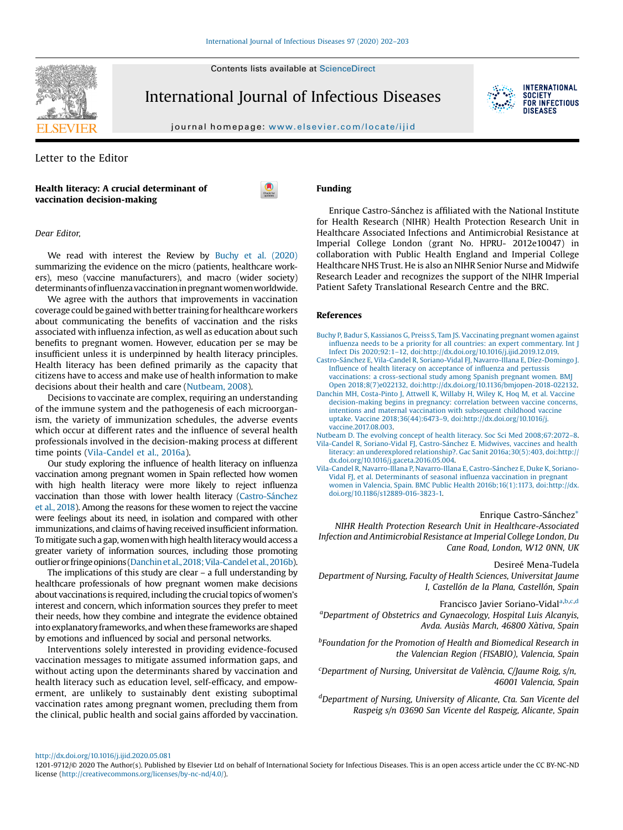Contents lists available at [ScienceDirect](http://www.sciencedirect.com/science/journal/12019712)



International Journal of Infectious Diseases



journal homepage: <www.elsevier.com/locate/ijid>

Letter to the Editor

Health literacy: A crucial determinant of vaccination decision-making



Dear Editor,

We read with interest the Review by Buchy et al. (2020) summarizing the evidence on the micro (patients, healthcare workers), meso (vaccine manufacturers), and macro (wider society) determinants of influenza vaccination in pregnant women worldwide.

We agree with the authors that improvements in vaccination coverage could be gained with better training for healthcare workers about communicating the benefits of vaccination and the risks associated with influenza infection, as well as education about such benefits to pregnant women. However, education per se may be insufficient unless it is underpinned by health literacy principles. Health literacy has been defined primarily as the capacity that citizens have to access and make use of health information to make decisions about their health and care (Nutbeam, 2008).

Decisions to vaccinate are complex, requiring an understanding of the immune system and the pathogenesis of each microorganism, the variety of immunization schedules, the adverse events which occur at different rates and the influence of several health professionals involved in the decision-making process at different time points (Vila-Candel et al., 2016a).

Our study exploring the influence of health literacy on influenza vaccination among pregnant women in Spain reflected how women with high health literacy were more likely to reject influenza vaccination than those with lower health literacy (Castro-Sánchez et al., 2018). Among the reasons for these women to reject the vaccine were feelings about its need, in isolation and compared with other immunizations, and claims of having received insufficient information. To mitigate such a gap, women with high health literacy would access a greater variety of information sources, including those promoting outlier or fringe opinions (Danchin et al., 2018; Vila-Candel et al., 2016b).

The implications of this study are clear – a full understanding by healthcare professionals of how pregnant women make decisions about vaccinations is required, including the crucial topics of women's interest and concern, which information sources they prefer to meet their needs, how they combine and integrate the evidence obtained into explanatory frameworks, and when these frameworks are shaped by emotions and influenced by social and personal networks.

Interventions solely interested in providing evidence-focused vaccination messages to mitigate assumed information gaps, and without acting upon the determinants shared by vaccination and health literacy such as education level, self-efficacy, and empowerment, are unlikely to sustainably dent existing suboptimal vaccination rates among pregnant women, precluding them from the clinical, public health and social gains afforded by vaccination. Funding

Enrique Castro-Sánchez is affiliated with the National Institute for Health Research (NIHR) Health Protection Research Unit in Healthcare Associated Infections and Antimicrobial Resistance at Imperial College London (grant No. HPRU- 2012e10047) in collaboration with Public Health England and Imperial College Healthcare NHS Trust. He is also an NIHR Senior Nurse and Midwife Research Leader and recognizes the support of the NIHR Imperial Patient Safety Translational Research Centre and the BRC.

## References

- Buchy P, Badur S, Kassianos G, Preiss S, Tam JS. [Vaccinating](http://refhub.elsevier.com/S1201-9712(20)30388-X/sbref0005) pregnant women against influenza needs to be a priority for all countries: an expert [commentary.](http://refhub.elsevier.com/S1201-9712(20)30388-X/sbref0005) Int J Infect Dis 2020;92:1–12, [doi:http://dx.doi.org/10.1016/j.ijid.2019.12.019.](http://refhub.elsevier.com/S1201-9712(20)30388-X/sbref0005)
- [Castro-Sánchez](http://refhub.elsevier.com/S1201-9712(20)30388-X/sbref0010) E, Vila-Candel R, Soriano-Vidal FJ, Navarro-Illana E, Díez-Domingo J. Influence of health literacy on [acceptance](http://refhub.elsevier.com/S1201-9712(20)30388-X/sbref0010) of influenza and pertussis vaccinations: a [cross-sectional](http://refhub.elsevier.com/S1201-9712(20)30388-X/sbref0010) study among Spanish pregnant women. BMJ Open 2018;8(7)e022132, [doi:http://dx.doi.org/10.1136/bmjopen-2018-022132.](http://refhub.elsevier.com/S1201-9712(20)30388-X/sbref0010)
- Danchin MH, [Costa-Pinto](http://refhub.elsevier.com/S1201-9712(20)30388-X/sbref0015) J, Attwell K, Willaby H, Wiley K, Hoq M, et al. Vaccine [decision-making](http://refhub.elsevier.com/S1201-9712(20)30388-X/sbref0015) begins in pregnancy: correlation between vaccine concerns, intentions and maternal vaccination with [subsequent](http://refhub.elsevier.com/S1201-9712(20)30388-X/sbref0015) childhood vaccine uptake. Vaccine 2018;36(44):6473–9, [doi:http://dx.doi.org/10.1016/j.](http://refhub.elsevier.com/S1201-9712(20)30388-X/sbref0015) [vaccine.2017.08.003.](http://dx.doi.org/10.1016/j.vaccine.2017.08.003)

Nutbeam D. The evolving concept of health literacy. Soc Sci Med [2008;67:2072](http://refhub.elsevier.com/S1201-9712(20)30388-X/sbref0020)–8. Vila-Candel R, Soriano-Vidal FJ, [Castro-Sánchez](http://refhub.elsevier.com/S1201-9712(20)30388-X/sbref0025) E. Midwives, vaccines and health literacy: an underexplored relationship?. Gac Sanit [2016a;30\(5\):403,](http://refhub.elsevier.com/S1201-9712(20)30388-X/sbref0025) doi:http://

[dx.doi.org/10.1016/j.gaceta.2016.05.004.](http://dx.doi.org/10.1016/j.gaceta.2016.05.004) Vila-Candel R, Navarro-Illana P, Navarro-Illana E, [Castro-Sánchez](http://refhub.elsevier.com/S1201-9712(20)30388-X/sbref0030) E, Duke K, Soriano-Vidal FJ, et al. [Determinants](http://refhub.elsevier.com/S1201-9712(20)30388-X/sbref0030) of seasonal influenza vaccination in pregnant when in Valencia, Spain. BMC Public Health [2016b;16\(1\):1173,](http://refhub.elsevier.com/S1201-9712(20)30388-X/sbref0030) doi:http://dx. [doi.org/10.1186/s12889-016-3823-1.](http://dx.doi.org/10.1186/s12889-016-3823-1)

## Enrique Castro-Sánche[z\\*](#page-1-0)

NIHR Health Protection Research Unit in Healthcare-Associated Infection and Antimicrobial Resistance at Imperial College London, Du Cane Road, London, W12 0NN, UK

Desireé Mena-Tudela

Department of Nursing, Faculty of Health Sciences, Universitat Jaume I, Castellón de la Plana, Castellón, Spain

Francisco Javier Soriano-Vidala,b,c,d <sup>a</sup>Department of Obstetrics and Gynaecology, Hospital Luis Alcanyis, Avda. Ausiàs March, 46800 Xàtiva, Spain

*bFoundation for the Promotion of Health and Biomedical Research in* the Valencian Region (FISABIO), Valencia, Spain

<sup>c</sup>Department of Nursing, Universitat de València, C/Jaume Roig, s/n, 46001 Valencia, Spain

<sup>d</sup>Department of Nursing, University of Alicante, Cta. San Vicente del Raspeig s/n 03690 San Vicente del Raspeig, Alicante, Spain

<http://dx.doi.org/10.1016/j.ijid.2020.05.081>

<sup>1201-9712/©</sup> 2020 The Author(s). Published by Elsevier Ltd on behalf of International Society for Infectious Diseases. This is an open access article under the CC BY-NC-ND license [\(http://creativecommons.org/licenses/by-nc-nd/4.0/\)](http://creativecommons.org/licenses/by-nc-nd/4.0/).